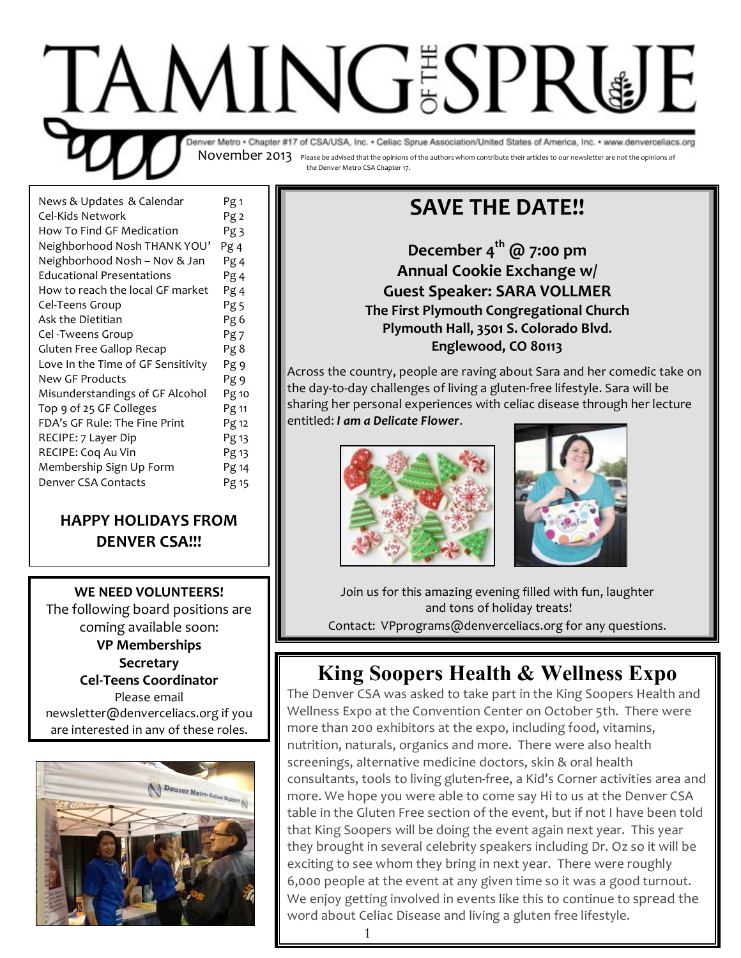

| News & Updates & Calendar          | Pg 1            |
|------------------------------------|-----------------|
| Cel-Kids Network                   | Pg 2            |
| How To Find GF Medication          | Pg <sub>3</sub> |
| Neighborhood Nosh THANK YOU'       | Pg 4            |
| Neighborhood Nosh - Nov & Jan      | Pg 4            |
| <b>Educational Presentations</b>   | Pg 4            |
| How to reach the local GF market   | Pg 4            |
| Cel-Teens Group                    | Pg <sub>5</sub> |
| Ask the Dietitian                  | Pg 6            |
| Cel -Tweens Group                  | Pg 7            |
| Gluten Free Gallop Recap           | Pg 8            |
| Love In the Time of GF Sensitivity | Pg 9            |
| New GF Products                    | Pg 9            |
| Misunderstandings of GF Alcohol    | Pg 10           |
| Top 9 of 25 GF Colleges            | Pg 11           |
| FDA's GF Rule: The Fine Print      | Pg 12           |
| RECIPE: 7 Layer Dip                | Pg 13           |
| RECIPE: Coq Au Vin                 | Pg 13           |
| Membership Sign Up Form            | Pg 14           |
| Denver CSA Contacts                | Pg 15           |
|                                    |                 |

### **HAPPY HOLIDAYS FROM DENVER CSA!!!**

**WE NEED VOLUNTEERS!** The following board positions are coming available soon: **VP Memberships Secretary Cel-Teens Coordinator** Please email newsletter@denverceliacs.org if you

are interested in any of these roles.



# **SAVE THE DATE!!**

December 4<sup>th</sup> @ 7:00 pm **Annual Cookie Exchange w/ Guest Speaker: SARA VOLLMER The First Plymouth Congregational Church Plymouth Hall, 3501 S. Colorado Blvd.** Englewood, CO 80113

Across the country, people are raving about Sara and her comedic take on the day-to-day challenges of living a gluten-free lifestyle. Sara will be sharing her personal experiences with celiac disease through her lecture  $entiled: I$  am a Delicate Flower.





Join us for this amazing evening filled with fun, laughter and tons of holiday treats! Contact: VPprograms@denverceliacs.org for any questions.

# **King Soopers Health & Wellness Expo**

The Denver CSA was asked to take part in the King Soopers Health and Wellness Expo at the Convention Center on October 5th. There were more than 200 exhibitors at the expo, including food, vitamins, nutrition, naturals, organics and more. There were also health screenings, alternative medicine doctors, skin & oral health consultants, tools to living gluten-free, a Kid's Corner activities area and more. We hope you were able to come say Hi to us at the Denver CSA table in the Gluten Free section of the event, but if not I have been told that King Soopers will be doing the event again next year. This year they brought in several celebrity speakers including Dr. Oz so it will be exciting to see whom they bring in next year. There were roughly 6,000 people at the event at any given time so it was a good turnout. We enjoy getting involved in events like this to continue to spread the word about Celiac Disease and living a gluten free lifestyle.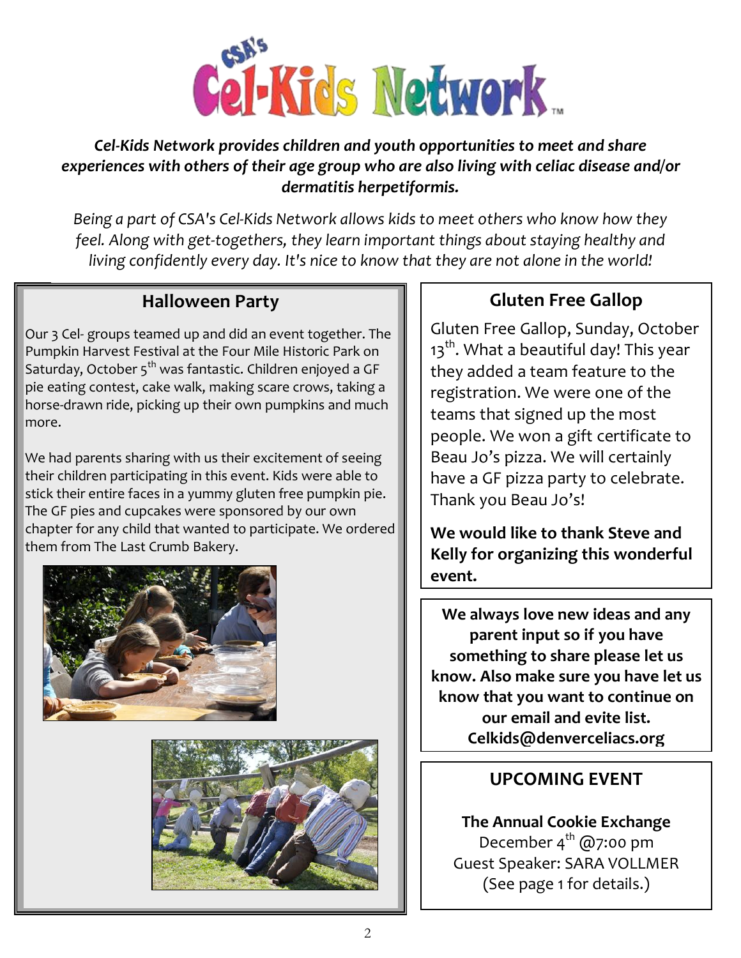

### Lel-Kids Network provides children and youth opportunities to meet and share experiences with others of their age group who are also living with celiac disease and/or  $d$ ermatitis herpetiformis.

Being a part of CSA's Cel-Kids Network allows kids to meet others who know how they feel. Along with get-togethers, they learn important things about staying healthy and living confidently every day. It's nice to know that they are not alone in the world!

### **Halloween Party**

Our 3 Cel- groups teamed up and did an event together. The Pumpkin Harvest Festival at the Four Mile Historic Park on Saturday, October 5<sup>th</sup> was fantastic. Children enjoyed a GF pie eating contest, cake walk, making scare crows, taking a horse-drawn ride, picking up their own pumpkins and much more.

We had parents sharing with us their excitement of seeing their children participating in this event. Kids were able to stick their entire faces in a yummy gluten free pumpkin pie. The GF pies and cupcakes were sponsored by our own chapter for any child that wanted to participate. We ordered them from The Last Crumb Bakery.





## **Gluten Free Gallop**

Gluten Free Gallop, Sunday, October  $13<sup>th</sup>$ . What a beautiful day! This year they added a team feature to the registration. We were one of the teams that signed up the most people. We won a gift certificate to Beau Jo's pizza. We will certainly have a GF pizza party to celebrate. Thank you Beau Jo's!

**We would like to thank Steve and** Kelly for organizing this wonderful event.

We always love new ideas and any **parent input so if you have** something to share please let us know. Also make sure you have let us know that you want to continue on **OUT email and evite list. Celkids@denverceliacs.org** 

### **UPCOMING EVENT**

**The Annual Cookie Exchange** December  $4^{th}$  @7:00 pm Guest Speaker: SARA VOLLMER (See page 1 for details.)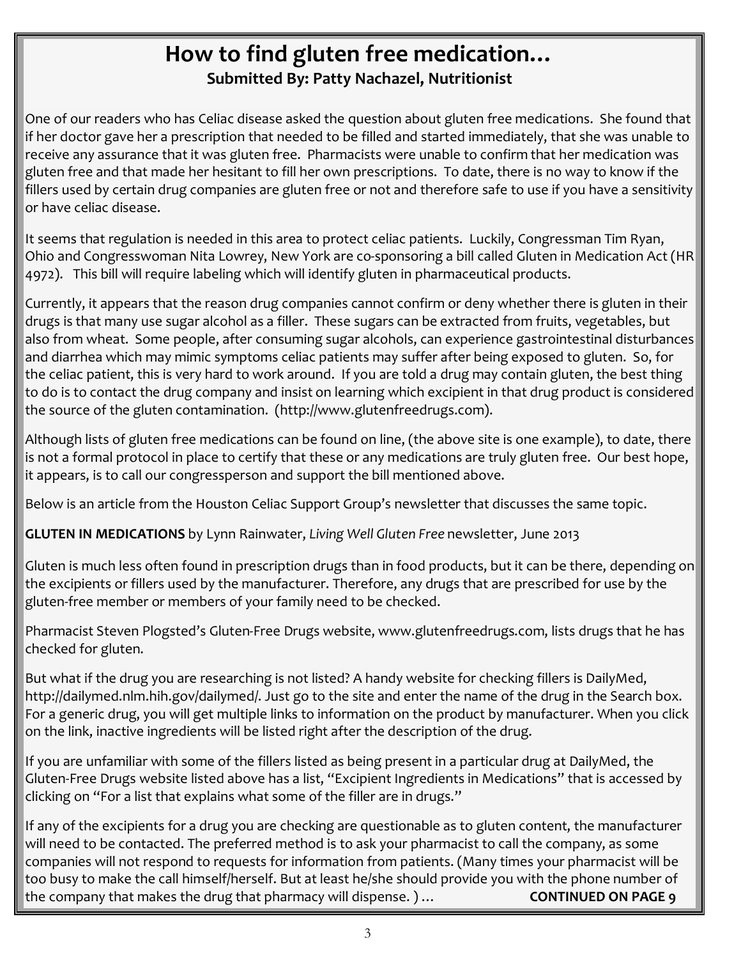## How to find gluten free medication... **Submitted By: Patty Nachazel, Nutritionist**

One of our readers who has Celiac disease asked the question about gluten free medications. She found that if her doctor gave her a prescription that needed to be filled and started immediately, that she was unable to receive any assurance that it was gluten free. Pharmacists were unable to confirm that her medication was gluten free and that made her hesitant to fill her own prescriptions. To date, there is no way to know if the fillers used by certain drug companies are gluten free or not and therefore safe to use if you have a sensitivity or have celiac disease.

It seems that regulation is needed in this area to protect celiac patients. Luckily, Congressman Tim Ryan, Ohio and Congresswoman Nita Lowrey, New York are co-sponsoring a bill called Gluten in Medication Act (HR 4972). This bill will require labeling which will identify gluten in pharmaceutical products.

Currently, it appears that the reason drug companies cannot confirm or deny whether there is gluten in their drugs is that many use sugar alcohol as a filler. These sugars can be extracted from fruits, vegetables, but also from wheat. Some people, after consuming sugar alcohols, can experience gastrointestinal disturbances and diarrhea which may mimic symptoms celiac patients may suffer after being exposed to gluten. So, for the celiac patient, this is very hard to work around. If you are told a drug may contain gluten, the best thing to do is to contact the drug company and insist on learning which excipient in that drug product is considered the source of the gluten contamination. (http://www.glutenfreedrugs.com).

Although lists of gluten free medications can be found on line, (the above site is one example), to date, there is not a formal protocol in place to certify that these or any medications are truly gluten free. Our best hope, it appears, is to call our congressperson and support the bill mentioned above.

Below is an article from the Houston Celiac Support Group's newsletter that discusses the same topic.

GLUTEN IN MEDICATIONS by Lynn Rainwater, Living Well Gluten Free newsletter, June 2013

Gluten is much less often found in prescription drugs than in food products, but it can be there, depending on the excipients or fillers used by the manufacturer. Therefore, any drugs that are prescribed for use by the gluten-free member or members of your family need to be checked.

Pharmacist Steven Plogsted's Gluten-Free Drugs website, www.glutenfreedrugs.com, lists drugs that he has checked for gluten.

But what if the drug you are researching is not listed? A handy website for checking fillers is DailyMed, http://dailymed.nlm.hih.gov/dailymed/. Just go to the site and enter the name of the drug in the Search box. For a generic drug, you will get multiple links to information on the product by manufacturer. When you click on the link, inactive ingredients will be listed right after the description of the drug.

If you are unfamiliar with some of the fillers listed as being present in a particular drug at DailyMed, the Gluten-Free Drugs website listed above has a list, "Excipient Ingredients in Medications" that is accessed by clicking on "For a list that explains what some of the filler are in drugs."

If any of the excipients for a drug you are checking are questionable as to gluten content, the manufacturer will need to be contacted. The preferred method is to ask your pharmacist to call the company, as some companies will not respond to requests for information from patients. (Many times your pharmacist will be too busy to make the call himself/herself. But at least he/she should provide you with the phone number of the company that makes the drug that pharmacy will dispense. )... **CONTINUED ON PAGE 9**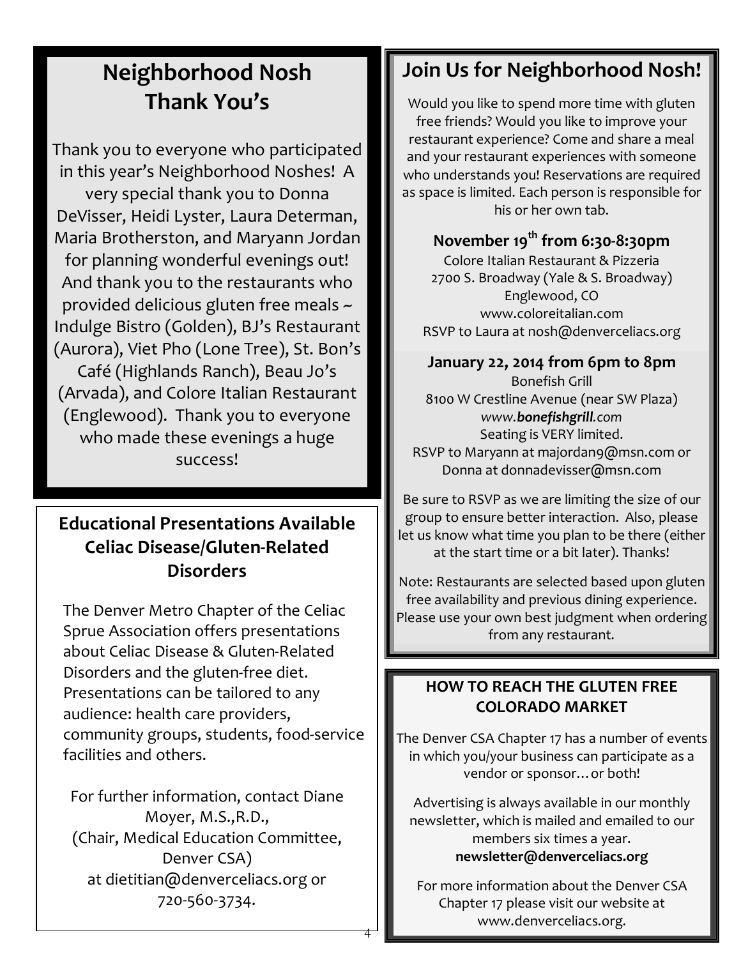# **Neighborhood Nosh** Thank You's

Thank you to everyone who participated in this year's Neighborhood Noshes! A very special thank you to Donna DeVisser, Heidi Lyster, Laura Determan, Maria Brotherston, and Maryann Jordan for planning wonderful evenings out! And thank you to the restaurants who provided delicious gluten free meals ~ Indulge Bistro (Golden), BJ's Restaurant (Aurora), Viet Pho (Lone Tree), St. Bon's Café (Highlands Ranch), Beau Jo's (Arvada), and Colore Italian Restaurant (Englewood). Thank you to everyone who made these evenings a huge success!

## **Educational Presentations Available Celiac Disease/Gluten-Related Disorders**

The Denver Metro Chapter of the Celiac Sprue Association offers presentations about Celiac Disease & Gluten-Related Disorders and the gluten-free diet. Presentations can be tailored to any audience: health care providers, community groups, students, food-service facilities and others.

For further information, contact Diane Moyer, M.S., R.D., (Chair, Medical Education Committee, Denver CSA) at dietitian@denverceliacs.org or 720-560-3734.

# Join Us for Neighborhood Nosh!

Would you like to spend more time with gluten free friends? Would you like to improve your restaurant experience? Come and share a meal and your restaurant experiences with someone who understands you! Reservations are required as space is limited. Each person is responsible for his or her own tab.

### November 19<sup>th</sup> from 6:30-8:30pm

Colore Italian Restaurant & Pizzeria 2700 S. Broadway (Yale & S. Broadway) Englewood, CO www.coloreitalian.com RSVP to Laura at nosh@denverceliacs.org

### January 22, 2014 from 6pm to 8pm

**Bonefish Grill** 8100 W Crestline Avenue (near SW Plaza) www.bonefishgrill.com Seating is VERY limited. RSVP to Maryann at majordan9@msn.com or Donna at donnadevisser@msn.com

Be sure to RSVP as we are limiting the size of our group to ensure better interaction. Also, please let us know what time you plan to be there (either at the start time or a bit later). Thanks!

Note: Restaurants are selected based upon gluten free availability and previous dining experience. Please use your own best judgment when ordering from any restaurant.

### **HOW TO REACH THE GLUTEN FREE COLORADO MARKET**

The Denver CSA Chapter 17 has a number of events in which you/your business can participate as a vendor or sponsor... or both!

Advertising is always available in our monthly newsletter, which is mailed and emailed to our members six times a year. newsletter@denverceliacs.org

For more information about the Denver CSA Chapter 17 please visit our website at www.denverceliacs.org.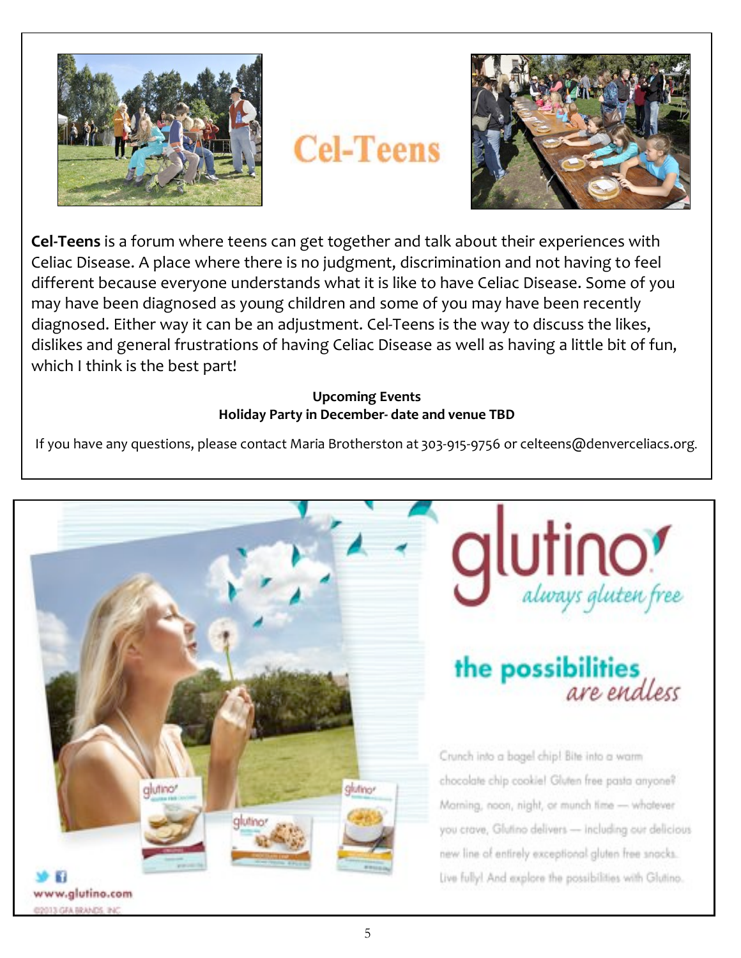

# **Cel-Teens**



**Cel-Teens** is a forum where teens can get together and talk about their experiences with Celiac Disease. A place where there is no judgment, discrimination and not having to feel different because everyone understands what it is like to have Celiac Disease. Some of you may have been diagnosed as young children and some of you may have been recently diagnosed. Either way it can be an adjustment. Cel-Teens is the way to discuss the likes, dislikes and general frustrations of having Celiac Disease as well as having a little bit of fun, which I think is the best part!

### **Upcoming Events** Holiday Party in December- date and venue TBD

If you have any questions, please contact Maria Brotherston at 303-915-9756 or celteens@denverceliacs.org.





# the possibilities are endless

Crunch into a bagel chip! Bite into a warm chocolate chip cookie! Gluten free pasta anyone? Morning, noon, night, or munch time - whotever you crave, Glutino delivers - including our delicious new line of entirely exceptional gluten free snacks. Live fully! And explore the possibilities with Glutino.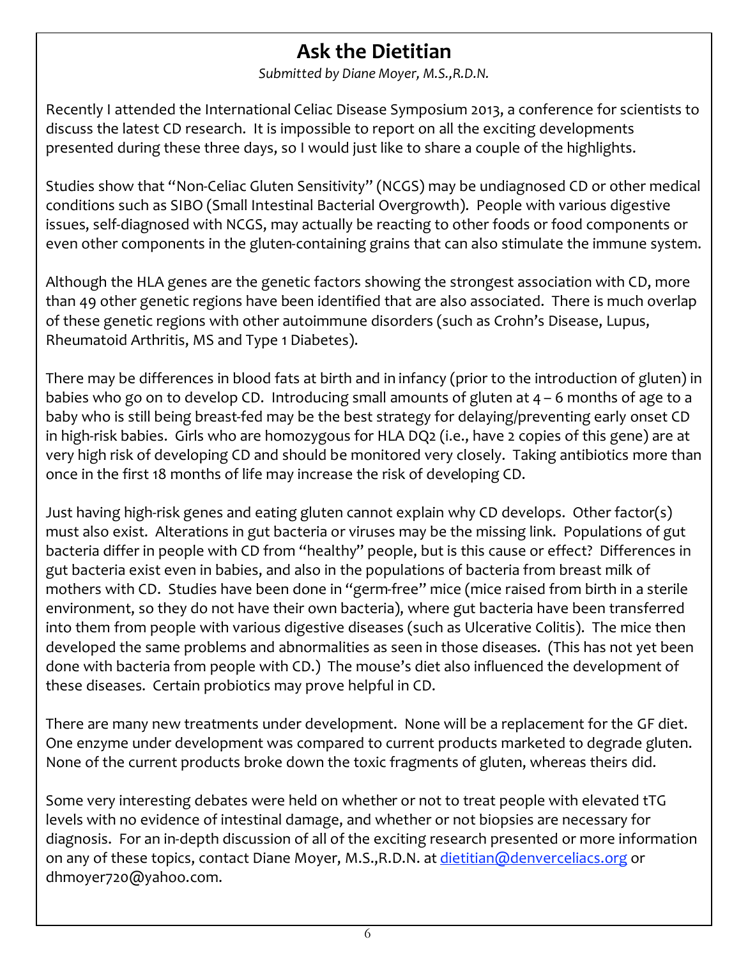## **Ask the Dietitian**

Submitted by Diane Moyer, M.S., R.D.N.

Recently I attended the International Celiac Disease Symposium 2013, a conference for scientists to discuss the latest CD research. It is impossible to report on all the exciting developments presented during these three days, so I would just like to share a couple of the highlights.

Studies show that "Non-Celiac Gluten Sensitivity" (NCGS) may be undiagnosed CD or other medical conditions such as SIBO (Small Intestinal Bacterial Overgrowth). People with various digestive issues, self-diagnosed with NCGS, may actually be reacting to other foods or food components or even other components in the gluten-containing grains that can also stimulate the immune system.

Although the HLA genes are the genetic factors showing the strongest association with CD, more than 49 other genetic regions have been identified that are also associated. There is much overlap of these genetic regions with other autoimmune disorders (such as Crohn's Disease, Lupus, Rheumatoid Arthritis, MS and Type 1 Diabetes).

There may be differences in blood fats at birth and in infancy (prior to the introduction of gluten) in babies who go on to develop CD. Introducing small amounts of gluten at  $4 - 6$  months of age to a baby who is still being breast-fed may be the best strategy for delaying/preventing early onset CD in high-risk babies. Girls who are homozygous for HLA DQ2 (i.e., have 2 copies of this gene) are at very high risk of developing CD and should be monitored very closely. Taking antibiotics more than once in the first 18 months of life may increase the risk of developing CD.

Just having high-risk genes and eating gluten cannot explain why CD develops. Other factor(s) must also exist. Alterations in gut bacteria or viruses may be the missing link. Populations of gut bacteria differ in people with CD from "healthy" people, but is this cause or effect? Differences in gut bacteria exist even in babies, and also in the populations of bacteria from breast milk of mothers with CD. Studies have been done in "germ-free" mice (mice raised from birth in a sterile environment, so they do not have their own bacteria), where gut bacteria have been transferred into them from people with various digestive diseases (such as Ulcerative Colitis). The mice then developed the same problems and abnormalities as seen in those diseases. (This has not yet been done with bacteria from people with CD.) The mouse's diet also influenced the development of these diseases. Certain probiotics may prove helpful in CD.

There are many new treatments under development. None will be a replacement for the GF diet. One enzyme under development was compared to current products marketed to degrade gluten. None of the current products broke down the toxic fragments of gluten, whereas theirs did.

Some very interesting debates were held on whether or not to treat people with elevated tTG levels with no evidence of intestinal damage, and whether or not biopsies are necessary for diagnosis. For an in-depth discussion of all of the exciting research presented or more information on any of these topics, contact Diane Moyer, M.S., R.D.N. at dietitian@denverceliacs.org or dhmoyer720@yahoo.com.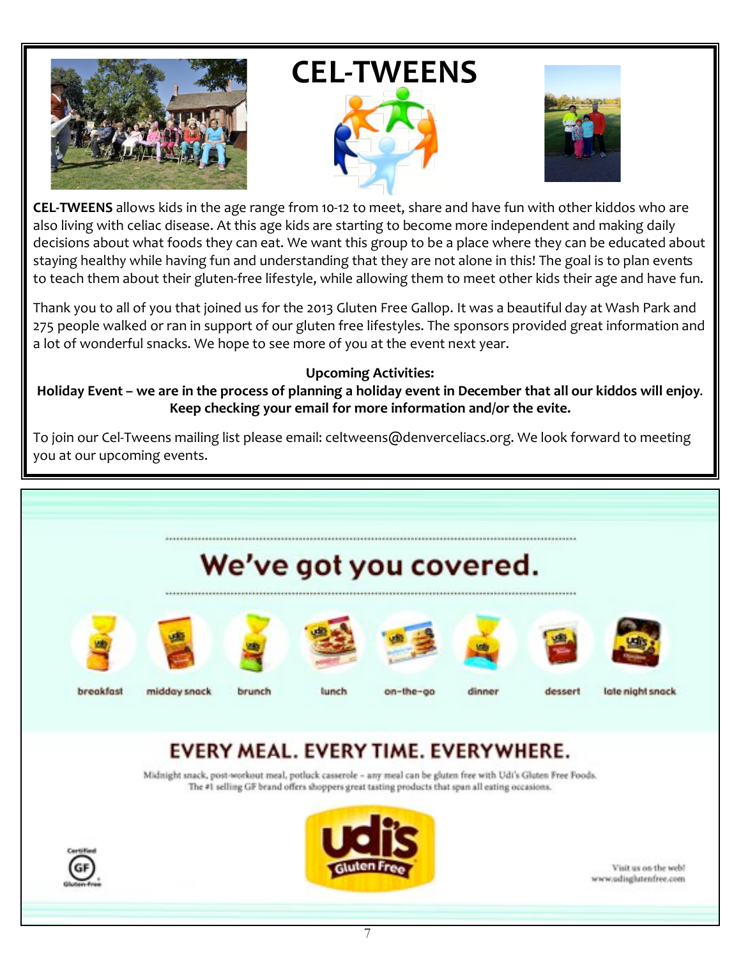

# **CEL-TWEENS**





CEL-TWEENS allows kids in the age range from 10-12 to meet, share and have fun with other kiddos who are also living with celiac disease. At this age kids are starting to become more independent and making daily decisions about what foods they can eat. We want this group to be a place where they can be educated about staying healthy while having fun and understanding that they are not alone in this! The goal is to plan events to teach them about their gluten-free lifestyle, while allowing them to meet other kids their age and have fun.

Thank you to all of you that joined us for the 2013 Gluten Free Gallop. It was a beautiful day at Wash Park and 275 people walked or ran in support of our gluten free lifestyles. The sponsors provided great information and a lot of wonderful snacks. We hope to see more of you at the event next year.

### **Upcoming Activities:**

Holiday Event - we are in the process of planning a holiday event in December that all our kiddos will enjoy. Keep checking your email for more information and/or the evite.

To join our Cel-Tweens mailing list please email: celtweens@denverceliacs.org. We look forward to meeting you at our upcoming events.



# EVERY MEAL. EVERY TIME. EVERYWHERE.

Midnight snack, post-workout meal, potluck casserole - any meal can be gluten free with Udi's Gluten Free Foods. The #1 selling GF brand offers shoppers great tasting products that span all eating occasions.





Visit us on the web! www.udisglutenfree.com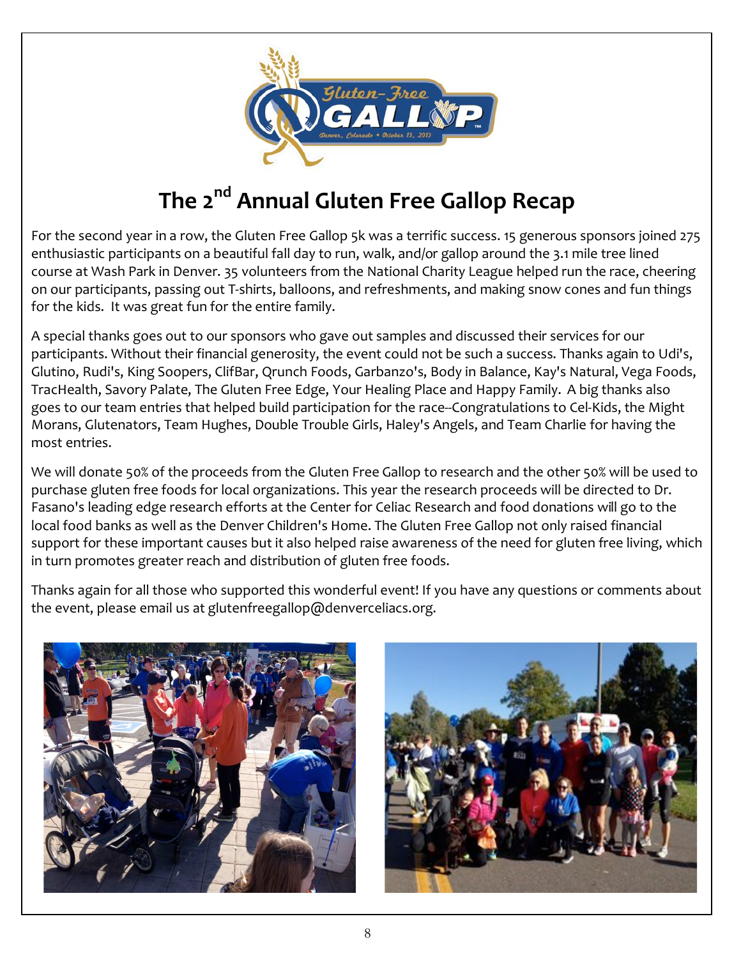

# The 2<sup>nd</sup> Annual Gluten Free Gallop Recap

For the second year in a row, the Gluten Free Gallop 5k was a terrific success. 15 generous sponsors joined 275 enthusiastic participants on a beautiful fall day to run, walk, and/or gallop around the 3.1 mile tree lined course at Wash Park in Denver. 35 volunteers from the National Charity League helped run the race, cheering on our participants, passing out T-shirts, balloons, and refreshments, and making snow cones and fun things for the kids. It was great fun for the entire family.

A special thanks goes out to our sponsors who gave out samples and discussed their services for our participants. Without their financial generosity, the event could not be such a success. Thanks again to Udi's, Glutino, Rudi's, King Soopers, ClifBar, Qrunch Foods, Garbanzo's, Body in Balance, Kay's Natural, Vega Foods, TracHealth, Savory Palate, The Gluten Free Edge, Your Healing Place and Happy Family. A big thanks also goes to our team entries that helped build participation for the race--Congratulations to Cel-Kids, the Might Morans, Glutenators, Team Hughes, Double Trouble Girls, Haley's Angels, and Team Charlie for having the most entries.

We will donate 50% of the proceeds from the Gluten Free Gallop to research and the other 50% will be used to purchase gluten free foods for local organizations. This year the research proceeds will be directed to Dr. Fasano's leading edge research efforts at the Center for Celiac Research and food donations will go to the local food banks as well as the Denver Children's Home. The Gluten Free Gallop not only raised financial support for these important causes but it also helped raise awareness of the need for gluten free living, which in turn promotes greater reach and distribution of gluten free foods.

Thanks again for all those who supported this wonderful event! If you have any questions or comments about the event, please email us at glutenfreegallop@denverceliacs.org.



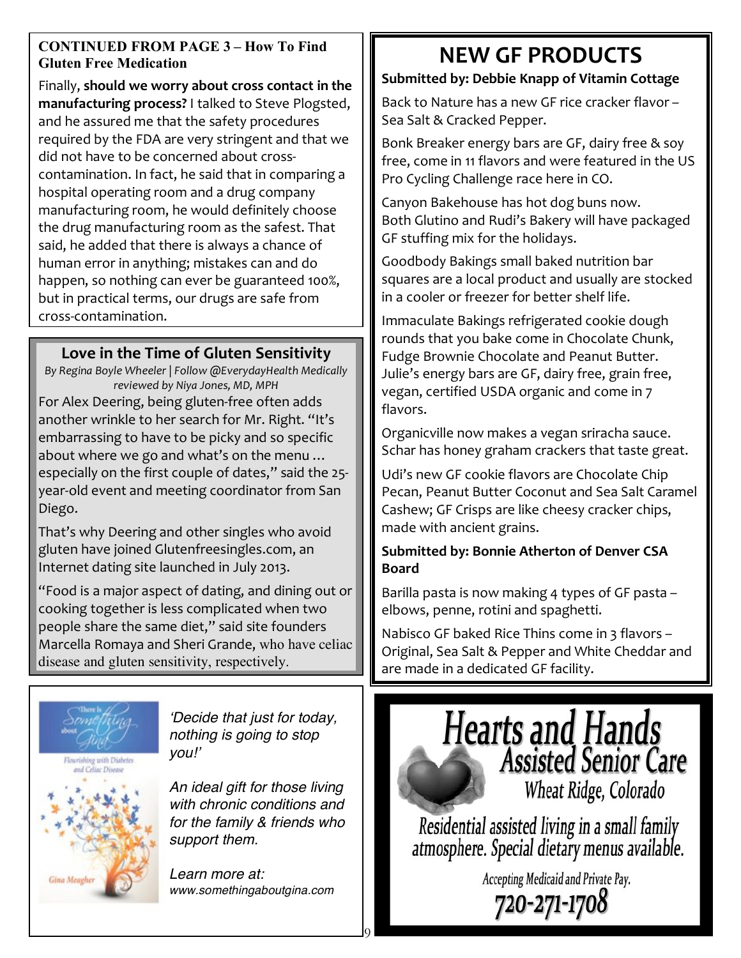### **CONTINUED FROM PAGE 3 - How To Find Gluten Free Medication**

Finally, should we worry about cross contact in the manufacturing process? I talked to Steve Plogsted, and he assured me that the safety procedures required by the FDA are very stringent and that we did not have to be concerned about crosscontamination. In fact, he said that in comparing a hospital operating room and a drug company manufacturing room, he would definitely choose the drug manufacturing room as the safest. That said, he added that there is always a chance of human error in anything; mistakes can and do happen, so nothing can ever be guaranteed 100%, but in practical terms, our drugs are safe from cross-contamination.

### Love in the Time of Gluten Sensitivity

By Regina Boyle Wheeler | Follow @EverydayHealth Medically reviewed by Niya Jones, MD, MPH For Alex Deering, being gluten-free often adds another wrinkle to her search for Mr. Right. "It's embarrassing to have to be picky and so specific about where we go and what's on the menu ... especially on the first couple of dates," said the 25year-old event and meeting coordinator from San Diego.

That's why Deering and other singles who avoid gluten have joined Glutenfreesingles.com, an Internet dating site launched in July 2013.

"Food is a major aspect of dating, and dining out or cooking together is less complicated when two people share the same diet," said site founders Marcella Romaya and Sheri Grande, who have celiac disease and gluten sensitivity, respectively.



Gina Meagi

nothing is going to stop you!'

An ideal gift for those living with chronic conditions and for the family & friends who support them.

Decide that just for today,

Learn more at: www.somethingaboutgina.com

# **NEW GF PRODUCTS**

### Submitted by: Debbie Knapp of Vitamin Cottage

Back to Nature has a new GF rice cracker flavor -Sea Salt & Cracked Pepper.

Bonk Breaker energy bars are GF, dairy free & soy free, come in 11 flavors and were featured in the US Pro Cycling Challenge race here in CO.

Canyon Bakehouse has hot dog buns now. Both Glutino and Rudi's Bakery will have packaged GF stuffing mix for the holidays.

Goodbody Bakings small baked nutrition bar squares are a local product and usually are stocked in a cooler or freezer for better shelf life.

Immaculate Bakings refrigerated cookie dough rounds that you bake come in Chocolate Chunk, Fudge Brownie Chocolate and Peanut Butter. Julie's energy bars are GF, dairy free, grain free, vegan, certified USDA organic and come in 7 flavors.

Organicville now makes a vegan sriracha sauce. Schar has honey graham crackers that taste great.

Udi's new GF cookie flavors are Chocolate Chip Pecan, Peanut Butter Coconut and Sea Salt Caramel Cashew; GF Crisps are like cheesy cracker chips, made with ancient grains.

### **Submitted by: Bonnie Atherton of Denver CSA Board**

Barilla pasta is now making 4 types of GF pasta elbows, penne, rotini and spaghetti.

Nabisco GF baked Rice Thins come in 3 flavors -Original, Sea Salt & Pepper and White Cheddar and are made in a dedicated GF facility.



Residential assisted living in a small family atmosphere. Special dietary menus available.

Accepting Medicaid and Private Pay.

720-271-1708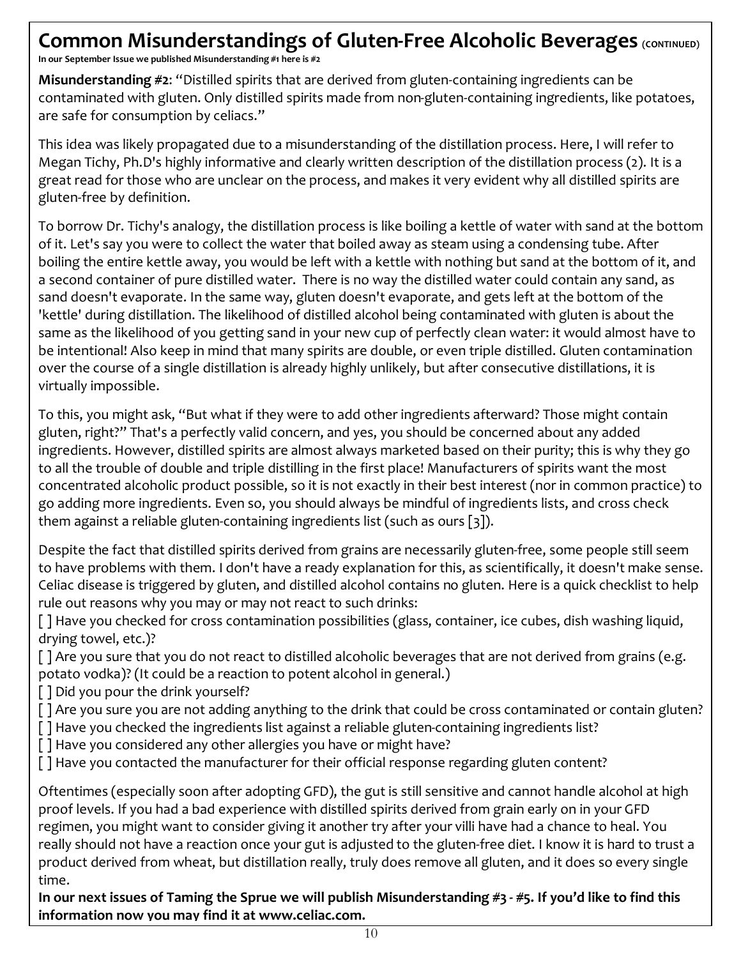## Common Misunderstandings of Gluten-Free Alcoholic Beverages (CONTINUED)

In our September Issue we published Misunderstanding #1 here is #2

Misunderstanding #2: "Distilled spirits that are derived from gluten-containing ingredients can be contaminated with gluten. Only distilled spirits made from non-gluten-containing ingredients, like potatoes, are safe for consumption by celiacs."

This idea was likely propagated due to a misunderstanding of the distillation process. Here, I will refer to Megan Tichy, Ph.D's highly informative and clearly written description of the distillation process (2). It is a great read for those who are unclear on the process, and makes it very evident why all distilled spirits are gluten-free by definition.

To borrow Dr. Tichy's analogy, the distillation process is like boiling a kettle of water with sand at the bottom of it. Let's say you were to collect the water that boiled away as steam using a condensing tube. After boiling the entire kettle away, you would be left with a kettle with nothing but sand at the bottom of it, and a second container of pure distilled water. There is no way the distilled water could contain any sand, as sand doesn't evaporate. In the same way, gluten doesn't evaporate, and gets left at the bottom of the 'kettle' during distillation. The likelihood of distilled alcohol being contaminated with gluten is about the same as the likelihood of you getting sand in your new cup of perfectly clean water: it would almost have to be intentional! Also keep in mind that many spirits are double, or even triple distilled. Gluten contamination over the course of a single distillation is already highly unlikely, but after consecutive distillations, it is virtually impossible.

To this, you might ask, "But what if they were to add other ingredients afterward? Those might contain gluten, right?" That's a perfectly valid concern, and yes, you should be concerned about any added ingredients. However, distilled spirits are almost always marketed based on their purity; this is why they go to all the trouble of double and triple distilling in the first place! Manufacturers of spirits want the most concentrated alcoholic product possible, so it is not exactly in their best interest (nor in common practice) to go adding more ingredients. Even so, you should always be mindful of ingredients lists, and cross check them against a reliable gluten-containing ingredients list (such as ours  $\lceil 3 \rceil$ ).

Despite the fact that distilled spirits derived from grains are necessarily gluten-free, some people still seem to have problems with them. I don't have a ready explanation for this, as scientifically, it doesn't make sense. Celiac disease is triggered by gluten, and distilled alcohol contains no gluten. Here is a quick checklist to help rule out reasons why you may or may not react to such drinks:

[ ] Have you checked for cross contamination possibilities (glass, container, ice cubes, dish washing liquid, drying towel, etc.)?

[] Are you sure that you do not react to distilled alcoholic beverages that are not derived from grains (e.g. potato vodka)? (It could be a reaction to potent alcohol in general.)

[] Did you pour the drink yourself?

[] Are you sure you are not adding anything to the drink that could be cross contaminated or contain gluten?

[] Have you checked the ingredients list against a reliable gluten-containing ingredients list?

[] Have you considered any other allergies you have or might have?

[] Have you contacted the manufacturer for their official response regarding gluten content?

Oftentimes (especially soon after adopting GFD), the gut is still sensitive and cannot handle alcohol at high proof levels. If you had a bad experience with distilled spirits derived from grain early on in your GFD regimen, you might want to consider giving it another try after your villi have had a chance to heal. You really should not have a reaction once your gut is adjusted to the gluten-free diet. I know it is hard to trust a product derived from wheat, but distillation really, truly does remove all gluten, and it does so every single time.

In our next issues of Taming the Sprue we will publish Misunderstanding #3 - #5. If you'd like to find this information now you may find it at www.celiac.com.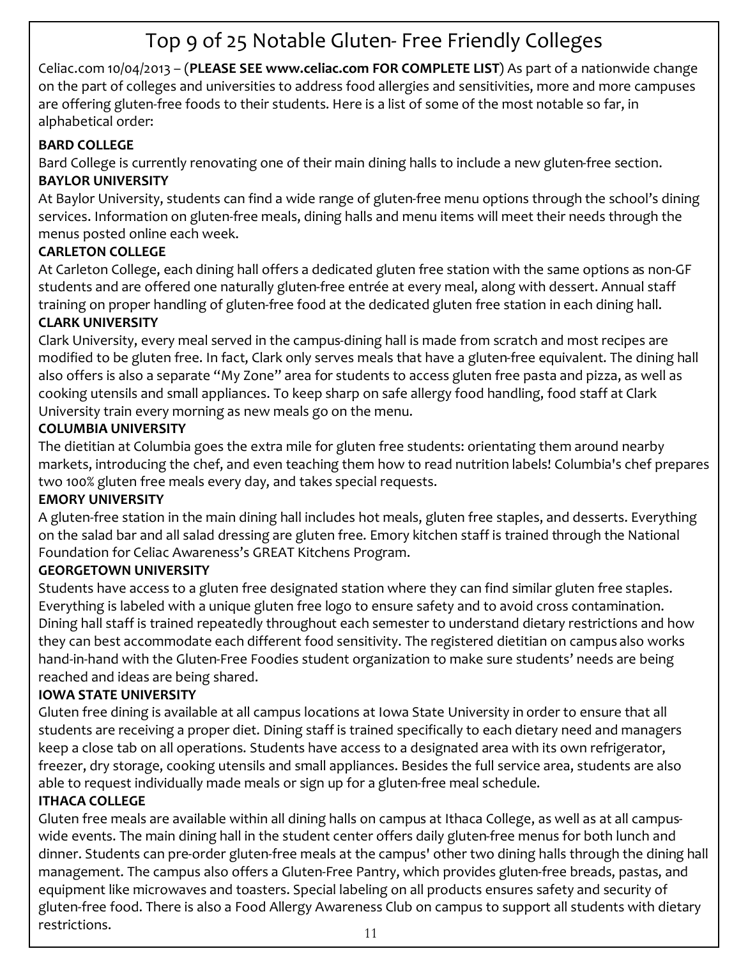# Top 9 of 25 Notable Gluten-Free Friendly Colleges

Celiac.com 10/04/2013 - (PLEASE SEE www.celiac.com FOR COMPLETE LIST) As part of a nationwide change on the part of colleges and universities to address food allergies and sensitivities, more and more campuses are offering gluten-free foods to their students. Here is a list of some of the most notable so far, in alphabetical order:

### **BARD COLLEGE**

Bard College is currently renovating one of their main dining halls to include a new gluten-free section. **BAYLOR UNIVERSITY** 

At Baylor University, students can find a wide range of gluten-free menu options through the school's dining services. Information on gluten-free meals, dining halls and menu items will meet their needs through the menus posted online each week.

### **CARLETON COLLEGE**

At Carleton College, each dining hall offers a dedicated gluten free station with the same options as non-GF students and are offered one naturally gluten-free entrée at every meal, along with dessert. Annual staff training on proper handling of gluten-free food at the dedicated gluten free station in each dining hall. **CLARK UNIVERSITY** 

Clark University, every meal served in the campus-dining hall is made from scratch and most recipes are modified to be gluten free. In fact, Clark only serves meals that have a gluten-free equivalent. The dining hall also offers is also a separate "My Zone" area for students to access gluten free pasta and pizza, as well as cooking utensils and small appliances. To keep sharp on safe allergy food handling, food staff at Clark University train every morning as new meals go on the menu.

### **COLUMBIA UNIVERSITY**

The dietitian at Columbia goes the extra mile for gluten free students: orientating them around nearby markets, introducing the chef, and even teaching them how to read nutrition labels! Columbia's chef prepares two 100% gluten free meals every day, and takes special requests.

### **EMORY UNIVERSITY**

A gluten-free station in the main dining hall includes hot meals, gluten free staples, and desserts. Everything on the salad bar and all salad dressing are gluten free. Emory kitchen staff is trained through the National Foundation for Celiac Awareness's GREAT Kitchens Program.

### **GEORGETOWN UNIVERSITY**

Students have access to a gluten free designated station where they can find similar gluten free staples. Everything is labeled with a unique gluten free logo to ensure safety and to avoid cross contamination. Dining hall staff is trained repeatedly throughout each semester to understand dietary restrictions and how they can best accommodate each different food sensitivity. The registered dietitian on campus also works hand-in-hand with the Gluten-Free Foodies student organization to make sure students' needs are being reached and ideas are being shared.

### **IOWA STATE UNIVERSITY**

Gluten free dining is available at all campus locations at Iowa State University in order to ensure that all students are receiving a proper diet. Dining staff is trained specifically to each dietary need and managers keep a close tab on all operations. Students have access to a designated area with its own refrigerator, freezer, dry storage, cooking utensils and small appliances. Besides the full service area, students are also able to request individually made meals or sign up for a gluten-free meal schedule.

### **ITHACA COLLEGE**

Gluten free meals are available within all dining halls on campus at Ithaca College, as well as at all campuswide events. The main dining hall in the student center offers daily gluten-free menus for both lunch and dinner. Students can pre-order gluten-free meals at the campus' other two dining halls through the dining hall management. The campus also offers a Gluten-Free Pantry, which provides gluten-free breads, pastas, and equipment like microwaves and toasters. Special labeling on all products ensures safety and security of gluten-free food. There is also a Food Allergy Awareness Club on campus to support all students with dietary restrictions.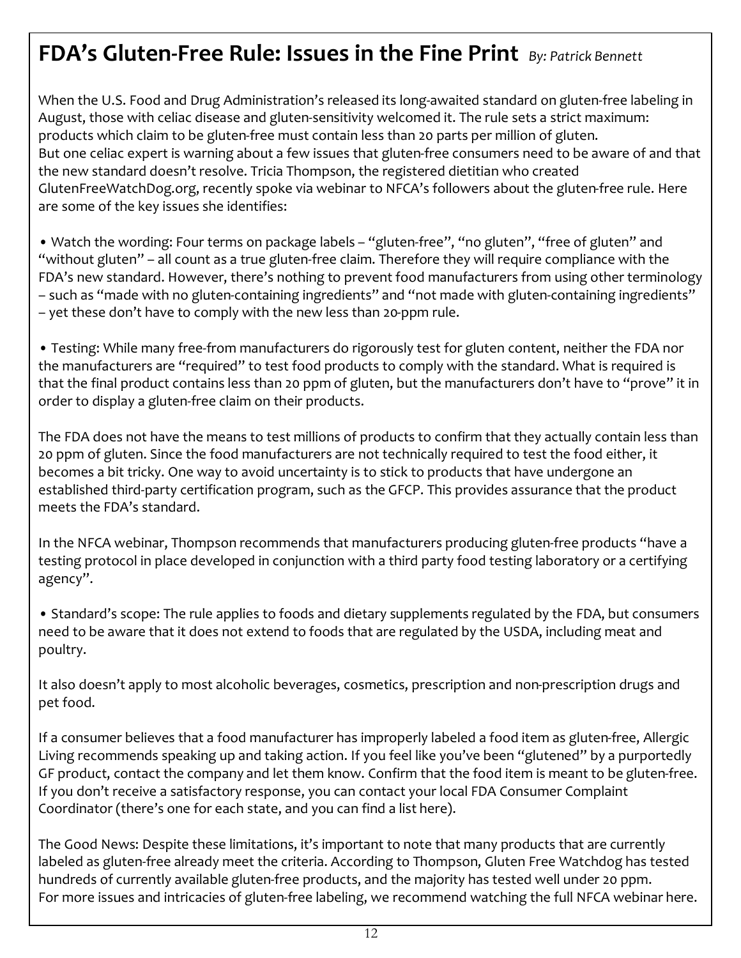# FDA's Gluten-Free Rule: Issues in the Fine Print By: Patrick Bennett

When the U.S. Food and Drug Administration's released its long-awaited standard on gluten-free labeling in August, those with celiac disease and gluten-sensitivity welcomed it. The rule sets a strict maximum: products which claim to be gluten-free must contain less than 20 parts per million of gluten. But one celiac expert is warning about a few issues that gluten-free consumers need to be aware of and that the new standard doesn't resolve. Tricia Thompson, the registered dietitian who created GlutenFreeWatchDog.org, recently spoke via webinar to NFCA's followers about the gluten-free rule. Here are some of the key issues she identifies:

. Watch the wording: Four terms on package labels - "gluten-free", "no gluten", "free of gluten" and "without gluten" – all count as a true gluten-free claim. Therefore they will require compliance with the FDA's new standard. However, there's nothing to prevent food manufacturers from using other terminology - such as "made with no gluten-containing ingredients" and "not made with gluten-containing ingredients" - yet these don't have to comply with the new less than 20-ppm rule.

• Testing: While many free-from manufacturers do rigorously test for gluten content, neither the FDA nor the manufacturers are "required" to test food products to comply with the standard. What is required is that the final product contains less than 20 ppm of gluten, but the manufacturers don't have to "prove" it in order to display a gluten-free claim on their products.

The FDA does not have the means to test millions of products to confirm that they actually contain less than 20 ppm of gluten. Since the food manufacturers are not technically required to test the food either, it becomes a bit tricky. One way to avoid uncertainty is to stick to products that have undergone an established third-party certification program, such as the GFCP. This provides assurance that the product meets the FDA's standard.

In the NFCA webinar, Thompson recommends that manufacturers producing gluten-free products "have a testing protocol in place developed in conjunction with a third party food testing laboratory or a certifying agency".

• Standard's scope: The rule applies to foods and dietary supplements regulated by the FDA, but consumers need to be aware that it does not extend to foods that are regulated by the USDA, including meat and poultry.

It also doesn't apply to most alcoholic beverages, cosmetics, prescription and non-prescription drugs and pet food.

If a consumer believes that a food manufacturer has improperly labeled a food item as gluten-free, Allergic Living recommends speaking up and taking action. If you feel like you've been "glutened" by a purportedly GF product, contact the company and let them know. Confirm that the food item is meant to be gluten-free. If you don't receive a satisfactory response, you can contact your local FDA Consumer Complaint Coordinator (there's one for each state, and you can find a list here).

The Good News: Despite these limitations, it's important to note that many products that are currently labeled as gluten-free already meet the criteria. According to Thompson, Gluten Free Watchdog has tested hundreds of currently available gluten-free products, and the majority has tested well under 20 ppm. For more issues and intricacies of gluten-free labeling, we recommend watching the full NFCA webinar here.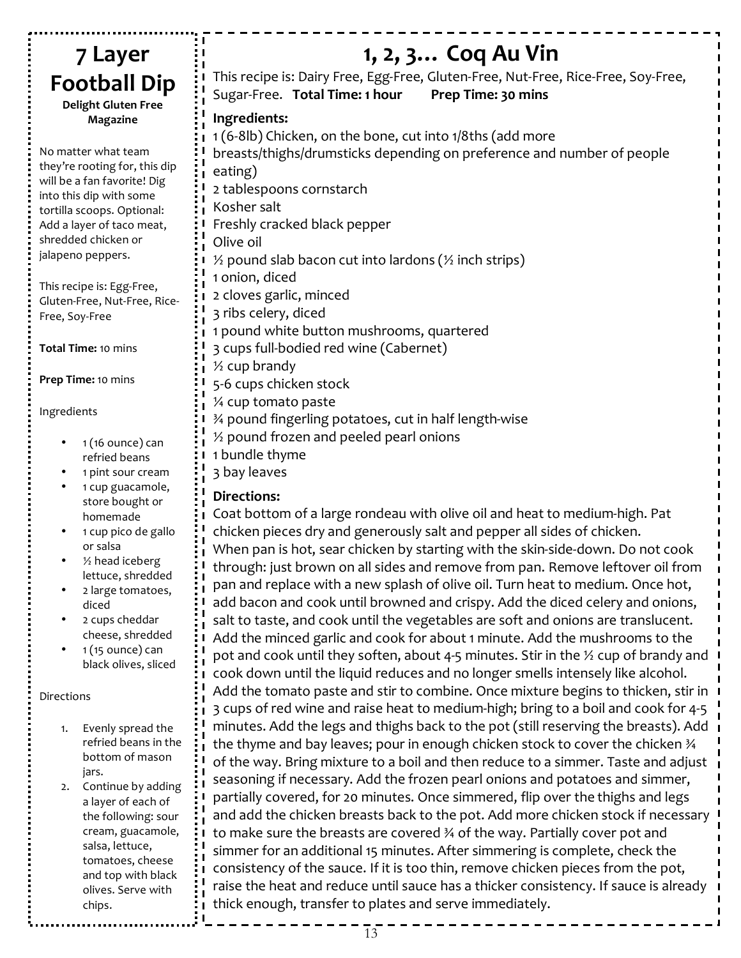#### 1, 2, 3... Coq Au Vin 7 Layer This recipe is: Dairy Free, Egg-Free, Gluten-Free, Nut-Free, Rice-Free, Soy-Free, **Football Dip** Sugar-Free. Total Time: 1 hour Prep Time: 30 mins **Delight Gluten Free** Ingredients: **Magazine** 1 (6-8lb) Chicken, on the bone, cut into 1/8ths (add more No matter what team breasts/thighs/drumsticks depending on preference and number of people they're rooting for, this dip eating) will be a fan favorite! Dig 2 tablespoons cornstarch into this dip with some Kosher salt tortilla scoops. Optional: Freshly cracked black pepper Add a layer of taco meat, shredded chicken or Olive oil jalapeno peppers.  $\frac{1}{2}$  pound slab bacon cut into lardons ( $\frac{1}{2}$  inch strips) 1 onion, diced This recipe is: Egg-Free, 2 cloves garlic, minced Gluten-Free, Nut-Free, Rice-3 ribs celery, diced Free, Soy-Free 1 pound white button mushrooms, quartered 3 cups full-bodied red wine (Cabernet) Total Time: 10 mins  $\frac{1}{2}$  cup brandy Prep Time: 10 mins 5-6 cups chicken stock 1/4 cup tomato paste Ingredients 3⁄4 pound fingerling potatoes, cut in half length-wise 1/2 pound frozen and peeled pearl onions  $1(16 \text{ ounce})$  can 1 bundle thyme refried beans 3 bay leaves 1 pint sour cream 1 cup guacamole, **Directions:** store bought or Coat bottom of a large rondeau with olive oil and heat to medium-high. Pat homemade 1 cup pico de gallo chicken pieces dry and generously salt and pepper all sides of chicken. or salsa When pan is hot, sear chicken by starting with the skin-side-down. Do not cook  $\frac{1}{2}$  head iceberg through: just brown on all sides and remove from pan. Remove leftover oil from lettuce, shredded pan and replace with a new splash of olive oil. Turn heat to medium. Once hot, 2 large tomatoes, add bacon and cook until browned and crispy. Add the diced celery and onions, diced salt to taste, and cook until the vegetables are soft and onions are translucent. 2 cups cheddar cheese, shredded Add the minced garlic and cook for about 1 minute. Add the mushrooms to the  $1(15 \text{ ounce})$  can pot and cook until they soften, about 4-5 minutes. Stir in the  $\frac{1}{2}$  cup of brandy and black olives, sliced cook down until the liquid reduces and no longer smells intensely like alcohol. Add the tomato paste and stir to combine. Once mixture begins to thicken, stir in Directions 3 cups of red wine and raise heat to medium-high; bring to a boil and cook for 4-5 minutes. Add the legs and thighs back to the pot (still reserving the breasts). Add Evenly spread the  $1.$ refried beans in the the thyme and bay leaves; pour in enough chicken stock to cover the chicken 34

jars. 2. Continue by adding a layer of each of the following: sour cream, guacamole, salsa, lettuce, tomatoes, cheese and top with black olives. Serve with chips.

bottom of mason

thick enough, transfer to plates and serve immediately.

of the way. Bring mixture to a boil and then reduce to a simmer. Taste and adjust

and add the chicken breasts back to the pot. Add more chicken stock if necessary

seasoning if necessary. Add the frozen pearl onions and potatoes and simmer,

partially covered, for 20 minutes. Once simmered, flip over the thighs and legs

to make sure the breasts are covered 3/4 of the way. Partially cover pot and

simmer for an additional 15 minutes. After simmering is complete, check the

consistency of the sauce. If it is too thin, remove chicken pieces from the pot,

raise the heat and reduce until sauce has a thicker consistency. If sauce is already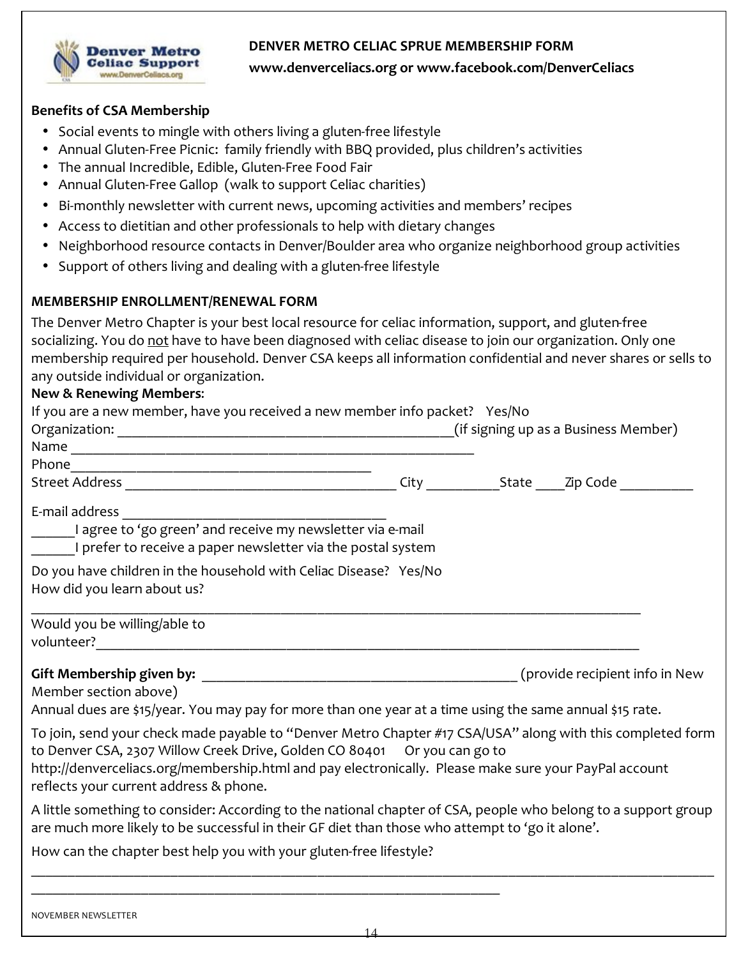#### DENVER METRO CELIAC SPRUE MEMBERSHIP FORM



www.denverceliacs.org or www.facebook.com/DenverCeliacs

#### **Benefits of CSA Membership**

- Social events to mingle with others living a gluten-free lifestyle
- Annual Gluten-Free Picnic: family friendly with BBQ provided, plus children's activities
- The annual Incredible, Edible, Gluten-Free Food Fair
- Annual Gluten-Free Gallop (walk to support Celiac charities)
- Bi-monthly newsletter with current news, upcoming activities and members' recipes
- Access to dietitian and other professionals to help with dietary changes
- Neighborhood resource contacts in Denver/Boulder area who organize neighborhood group activities
- Support of others living and dealing with a gluten-free lifestyle

#### MEMBERSHIP ENROLLMENT/RENEWAL FORM

The Denver Metro Chapter is your best local resource for celiac information, support, and gluten-free socializing. You do not have to have been diagnosed with celiac disease to join our organization. Only one membership required per household. Denver CSA keeps all information confidential and never shares or sells to any outside individual or organization.

#### **New & Renewing Members:**

| If you are a new member, have you received a new member info packet? Yes/No                                                                                                                                                                                                                                                               |  |  |
|-------------------------------------------------------------------------------------------------------------------------------------------------------------------------------------------------------------------------------------------------------------------------------------------------------------------------------------------|--|--|
|                                                                                                                                                                                                                                                                                                                                           |  |  |
|                                                                                                                                                                                                                                                                                                                                           |  |  |
|                                                                                                                                                                                                                                                                                                                                           |  |  |
|                                                                                                                                                                                                                                                                                                                                           |  |  |
| I prefer to receive a paper newsletter via the postal system                                                                                                                                                                                                                                                                              |  |  |
| Do you have children in the household with Celiac Disease? Yes/No<br>How did you learn about us?                                                                                                                                                                                                                                          |  |  |
| Would you be willing/able to                                                                                                                                                                                                                                                                                                              |  |  |
|                                                                                                                                                                                                                                                                                                                                           |  |  |
| Member section above)                                                                                                                                                                                                                                                                                                                     |  |  |
| Annual dues are \$15/year. You may pay for more than one year at a time using the same annual \$15 rate.                                                                                                                                                                                                                                  |  |  |
| To join, send your check made payable to "Denver Metro Chapter #17 CSA/USA" along with this completed form<br>to Denver CSA, 2307 Willow Creek Drive, Golden CO 80401 Or you can go to<br>http://denverceliacs.org/membership.html and pay electronically. Please make sure your PayPal account<br>reflects your current address & phone. |  |  |
| A little something to consider: According to the national chapter of CSA, people who belong to a support group<br>are much more likely to be successful in their GF diet than those who attempt to 'go it alone'.                                                                                                                         |  |  |
| How can the chapter best help you with your gluten-free lifestyle?                                                                                                                                                                                                                                                                        |  |  |
|                                                                                                                                                                                                                                                                                                                                           |  |  |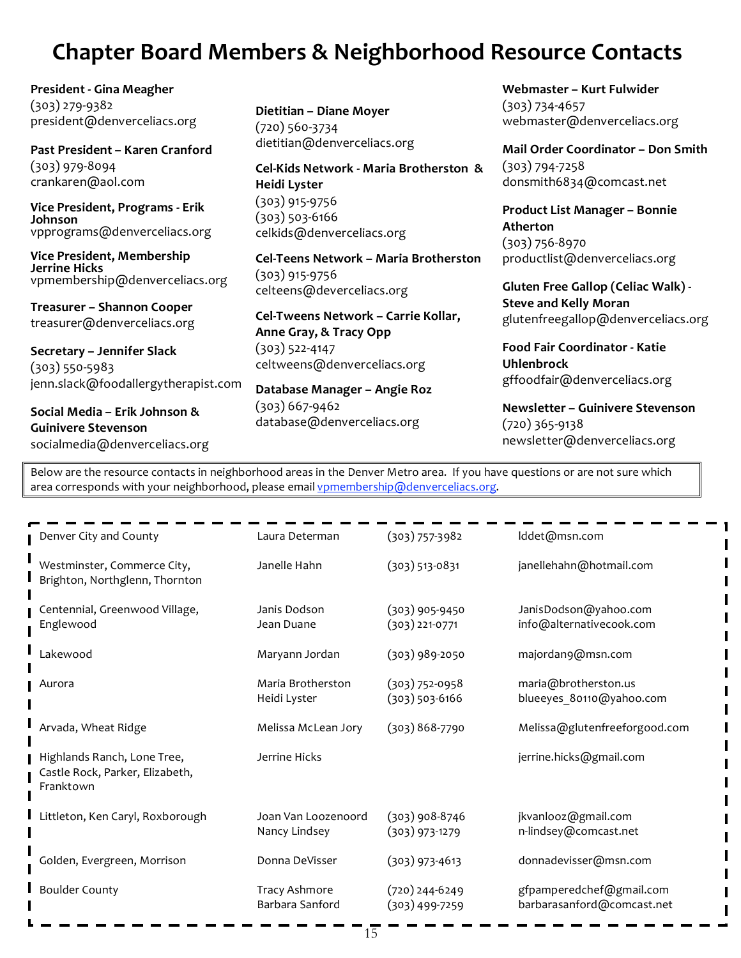## **Chapter Board Members & Neighborhood Resource Contacts**

President - Gina Meagher  $(303)$  279-9382 president@denverceliacs.org

Past President - Karen Cranford  $(303)$  979-8094 crankaren@aol.com

Vice President, Programs - Erik Johnson vpprograms@denverceliacs.org

**Vice President, Membership Jerrine Hicks** vpmembership@denverceliacs.org

Treasurer - Shannon Cooper treasurer@denverceliacs.org

Secretary - Jennifer Slack  $(303) 550 - 5983$ jenn.slack@foodallergytherapist.com

Social Media - Erik Johnson & **Guinivere Stevenson** socialmedia@denverceliacs.org Dietitian - Diane Moyer  $(720)$  560-3734 dietitian@denverceliacs.org

Cel-Kids Network - Maria Brotherston & Heidi Lyster  $(303)$  915-9756  $(303)$  503-6166 celkids@denverceliacs.org

Cel-Teens Network - Maria Brotherston  $(303)$  915-9756 celteens@deverceliacs.org

Cel-Tweens Network - Carrie Kollar, Anne Gray, & Tracy Opp  $(303)$  522-4147 celtweens@denverceliacs.org

Database Manager - Angie Roz  $(303)$  667-9462 database@denverceliacs.org

Webmaster - Kurt Fulwider  $(303) 734 - 4657$ webmaster@denverceliacs.org

Mail Order Coordinator - Don Smith  $(303) 794 - 7258$ donsmith6834@comcast.net

Product List Manager - Bonnie Atherton  $(303) 756 - 8970$ productlist@denverceliacs.org

**Gluten Free Gallop (Celiac Walk) -Steve and Kelly Moran** glutenfreegallop@denverceliacs.org

Food Fair Coordinator - Katie **Uhlenbrock** gffoodfair@denverceliacs.org

Newsletter - Guinivere Stevenson  $(720)$  365-9138 newsletter@denverceliacs.org

Below are the resource contacts in neighborhood areas in the Denver Metro area. If you have questions or are not sure which area corresponds with your neighborhood, please email vpmembership@denverceliacs.org.

| Denver City and County                                                      | Laura Determan                       | $(303) 757 - 3982$                     | Iddet@msn.com                                          |
|-----------------------------------------------------------------------------|--------------------------------------|----------------------------------------|--------------------------------------------------------|
| Westminster, Commerce City,<br>Brighton, Northglenn, Thornton               | Janelle Hahn                         | $(303)$ 513-0831                       | janellehahn@hotmail.com                                |
| Centennial, Greenwood Village,<br>Englewood                                 | Janis Dodson<br>Jean Duane           | $(303)$ 905-9450<br>$(303)$ 221-0771   | JanisDodson@yahoo.com<br>info@alternativecook.com      |
| Lakewood                                                                    | Maryann Jordan                       | $(303)$ 989-2050                       | majordan9@msn.com                                      |
| Aurora                                                                      | Maria Brotherston<br>Heidi Lyster    | $(303) 752 - 0958$<br>$(303)$ 503-6166 | maria@brotherston.us<br>blueeyes 80110@yahoo.com       |
| Arvada, Wheat Ridge                                                         | Melissa McLean Jory                  | $(303)868-7790$                        | Melissa@glutenfreeforgood.com                          |
| Highlands Ranch, Lone Tree,<br>Castle Rock, Parker, Elizabeth,<br>Franktown | Jerrine Hicks                        |                                        | jerrine.hicks@gmail.com                                |
| Littleton, Ken Caryl, Roxborough                                            | Joan Van Loozenoord<br>Nancy Lindsey | $(303)$ 908-8746<br>$(303)$ 973-1279   | jkvanlooz@gmail.com<br>n-lindsey@comcast.net           |
| Golden, Evergreen, Morrison                                                 | Donna DeVisser                       | $(303)$ 973-4613                       | donnadevisser@msn.com                                  |
| <b>Boulder County</b>                                                       | Tracy Ashmore<br>Barbara Sanford     | $(720)$ 244-6249<br>$(303)$ 499-7259   | gfpamperedchef@gmail.com<br>barbarasanford@comcast.net |